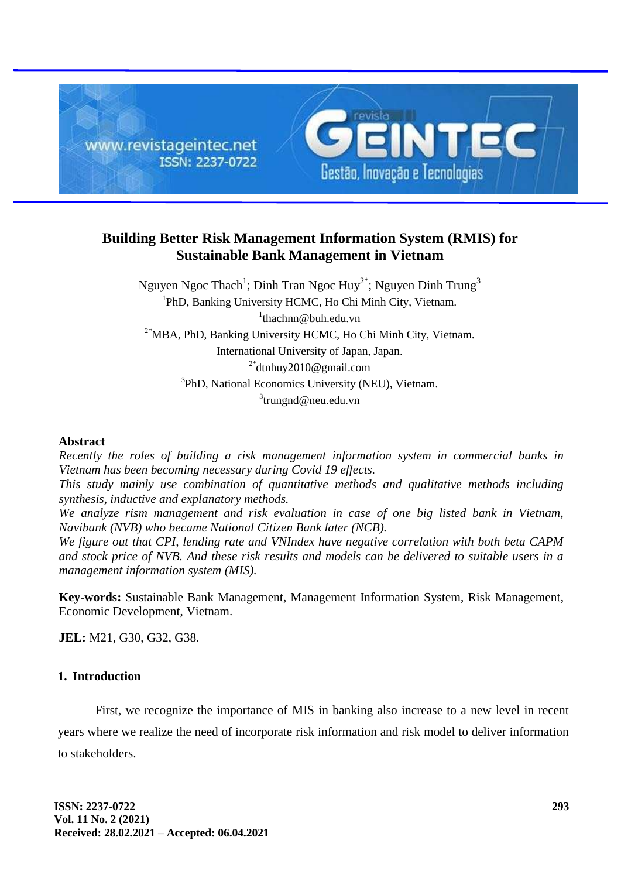

# **Building Better Risk Management Information System (RMIS) for Sustainable Bank Management in Vietnam**

Nguyen Ngoc Thach<sup>1</sup>; Dinh Tran Ngoc Huy<sup>2\*</sup>; Nguyen Dinh Trung<sup>3</sup> <sup>1</sup>PhD, Banking University HCMC, Ho Chi Minh City, Vietnam. 1 thachnn@buh.edu.vn  $2*$ MBA, PhD, Banking University HCMC, Ho Chi Minh City, Vietnam. International University of Japan, Japan. 2\* dtnhuy2010@gmail.com <sup>3</sup>PhD, National Economics University (NEU), Vietnam. <sup>3</sup>trungnd@neu.edu.vn

### **Abstract**

*Recently the roles of building a risk management information system in commercial banks in Vietnam has been becoming necessary during Covid 19 effects.*

*This study mainly use combination of quantitative methods and qualitative methods including synthesis, inductive and explanatory methods.*

*We analyze rism management and risk evaluation in case of one big listed bank in Vietnam, Navibank (NVB) who became National Citizen Bank later (NCB).*

*We figure out that CPI, lending rate and VNIndex have negative correlation with both beta CAPM and stock price of NVB. And these risk results and models can be delivered to suitable users in a management information system (MIS).*

**Key-words:** Sustainable Bank Management, Management Information System, Risk Management, Economic Development, Vietnam.

**JEL:** M21, G30, G32, G38.

### **1. Introduction**

First, we recognize the importance of MIS in banking also increase to a new level in recent

years where we realize the need of incorporate risk information and risk model to deliver information to stakeholders.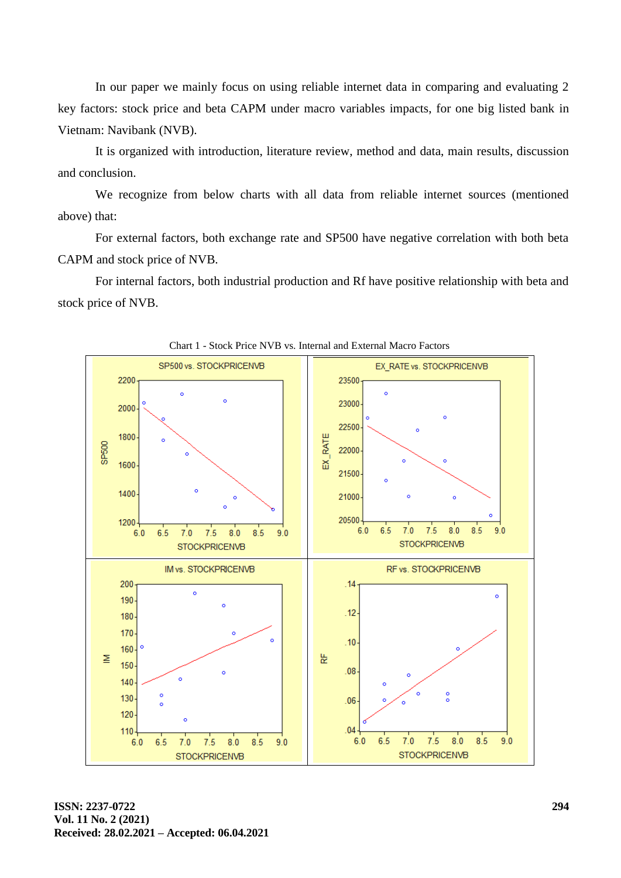In our paper we mainly focus on using reliable internet data in comparing and evaluating 2 key factors: stock price and beta CAPM under macro variables impacts, for one big listed bank in Vietnam: Navibank (NVB).

It is organized with introduction, literature review, method and data, main results, discussion and conclusion.

We recognize from below charts with all data from reliable internet sources (mentioned above) that:

For external factors, both exchange rate and SP500 have negative correlation with both beta CAPM and stock price of NVB.

For internal factors, both industrial production and Rf have positive relationship with beta and stock price of NVB.



Chart 1 - Stock Price NVB vs. Internal and External Macro Factors

**ISSN: 2237-0722 Vol. 11 No. 2 (2021) Received: 28.02.2021 – Accepted: 06.04.2021**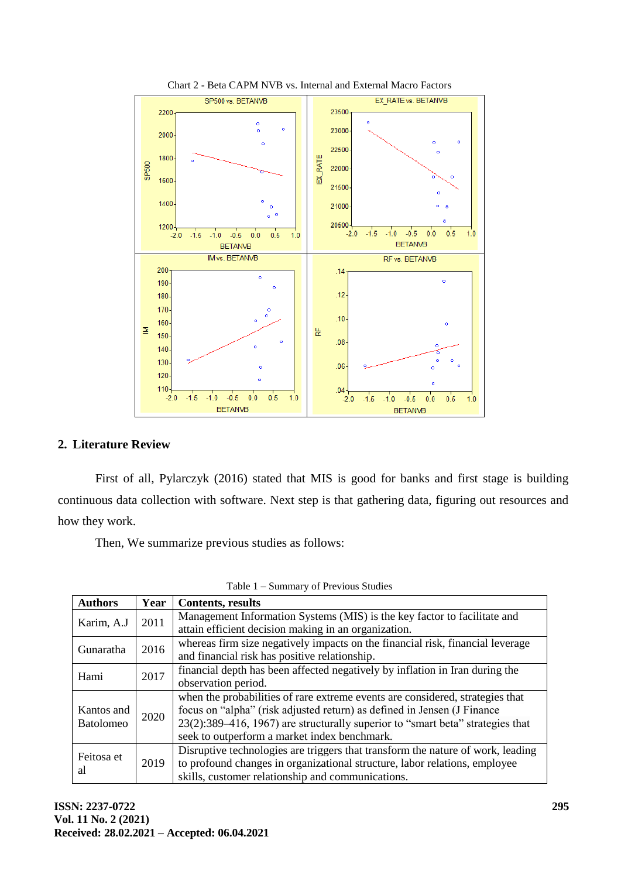

#### Chart 2 - Beta CAPM NVB vs. Internal and External Macro Factors

# **2. Literature Review**

First of all, Pylarczyk (2016) stated that MIS is good for banks and first stage is building continuous data collection with software. Next step is that gathering data, figuring out resources and how they work.

Then, We summarize previous studies as follows:

| <b>Authors</b>   | Year | <b>Contents, results</b>                                                        |
|------------------|------|---------------------------------------------------------------------------------|
| Karim, A.J       | 2011 | Management Information Systems (MIS) is the key factor to facilitate and        |
|                  |      | attain efficient decision making in an organization.                            |
| Gunaratha        | 2016 | whereas firm size negatively impacts on the financial risk, financial leverage  |
|                  |      | and financial risk has positive relationship.                                   |
| Hami             | 2017 | financial depth has been affected negatively by inflation in Iran during the    |
|                  |      | observation period.                                                             |
|                  |      | when the probabilities of rare extreme events are considered, strategies that   |
| Kantos and       | 2020 | focus on "alpha" (risk adjusted return) as defined in Jensen (J Finance         |
| <b>Batolomeo</b> |      | 23(2):389–416, 1967) are structurally superior to "smart beta" strategies that  |
|                  |      | seek to outperform a market index benchmark.                                    |
| Feitosa et       |      | Disruptive technologies are triggers that transform the nature of work, leading |
|                  | 2019 | to profound changes in organizational structure, labor relations, employee      |
| al               |      | skills, customer relationship and communications.                               |

Table 1 – Summary of Previous Studies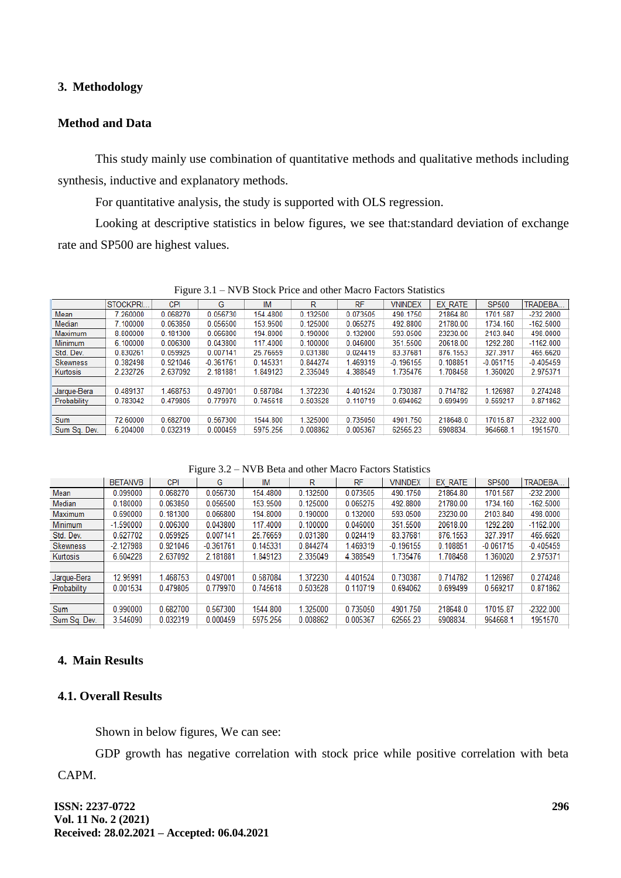### **3. Methodology**

# **Method and Data**

This study mainly use combination of quantitative methods and qualitative methods including synthesis, inductive and explanatory methods.

For quantitative analysis, the study is supported with OLS regression.

Looking at descriptive statistics in below figures, we see that:standard deviation of exchange rate and SP500 are highest values.

|                 | STOCKPRI. | <b>CPI</b> | G           | <b>IM</b> | R        | <b>RF</b> | <b>VNINDEX</b> | EX RATE  | SP500       | TRADEBA.    |
|-----------------|-----------|------------|-------------|-----------|----------|-----------|----------------|----------|-------------|-------------|
| Mean            | 260000    | 0.068270   | 0.056730    | 154.4800  | 0.132500 | 0.073505  | 490.1750       | 21864.80 | 1701.587    | $-232.2000$ |
| Median          | 7.100000  | 0.063850   | 0.056500    | 153.9500  | 0.125000 | 0.065275  | 492.8800       | 21780.00 | 1734.160    | $-162.5000$ |
| Maximum         | 8.800000  | 0.181300   | 0.066800    | 194.8000  | 0.190000 | 0.132000  | 593.0500       | 23230.00 | 2103.840    | 498,0000    |
| <b>Minimum</b>  | 6.100000  | 0.006300   | 0.043800    | 117.4000  | 0.100000 | 0.046000  | 351.5500       | 20618.00 | 1292.280    | $-1162.000$ |
| Std. Dev.       | 0.830261  | 0.059925   | 0.007141    | 25.76659  | 0.031380 | 0.024419  | 83.37681       | 876.1553 | 327.3917    | 465.6620    |
| <b>Skewness</b> | 0.382498  | 0.921046   | $-0.361761$ | 0.145331  | 0.844274 | 1.469319  | $-0.196155$    | 0.108851 | $-0.061715$ | $-0.405459$ |
| Kurtosis        | 2.232726  | 2.637092   | 2.181881    | 1.849123  | 2.335049 | 4.388549  | 1.735476       | 1.708458 | 1.360020    | 2.975371    |
|                 |           |            |             |           |          |           |                |          |             |             |
| Jarque-Bera     | 0.489137  | 1.468753   | 0.497001    | 0.587084  | 1.372230 | 4.401524  | 0.730387       | 0.714782 | 1.126987    | 0.274248    |
| Probability     | 0.783042  | 0.479805   | 0.779970    | 0.745618  | 0.503528 | 0.110719  | 0.694062       | 0.699499 | 0.569217    | 0.871862    |
|                 |           |            |             |           |          |           |                |          |             |             |
| Sum             | 72.60000  | 0.682700   | 0.567300    | 1544.800  | .325000  | 0.735050  | 4901.750       | 218648.0 | 17015.87    | $-2322.000$ |
| Sum Sq. Dev.    | 6.204000  | 0.032319   | 0.000459    | 5975.256  | 0.008862 | 0.005367  | 62565.23       | 6908834  | 964668.1    | 1951570.    |
|                 |           |            |             |           |          |           |                |          |             |             |

Figure 3.1 – NVB Stock Price and other Macro Factors Statistics

Figure 3.2 – NVB Beta and other Macro Factors Statistics

|                 | <b>BETANVB</b> | CPI      | G           | IM       | R        | <b>RF</b> | <b>VNINDEX</b> | EX RATE  | SP500       | TRADEBA     |
|-----------------|----------------|----------|-------------|----------|----------|-----------|----------------|----------|-------------|-------------|
| Mean            | 0.099000       | 0.068270 | 0.056730    | 154,4800 | 0.132500 | 0.073505  | 490.1750       | 21864.80 | 1701.587    | $-232.2000$ |
| Median          | 0.180000       | 0.063850 | 0.056500    | 153.9500 | 0.125000 | 0.065275  | 492.8800       | 21780.00 | 1734.160    | $-162.5000$ |
| Maximum         | 0.690000       | 0.181300 | 0.066800    | 194.8000 | 0.190000 | 0.132000  | 593.0500       | 23230.00 | 2103.840    | 498.0000    |
| Minimum         | $-1.590000$    | 0.006300 | 0.043800    | 117.4000 | 0.100000 | 0.046000  | 351.5500       | 20618.00 | 1292.280    | $-1162.000$ |
| Std. Dev.       | 0.627702       | 0.059925 | 0.007141    | 25.76659 | 0.031380 | 0.024419  | 83.37681       | 876.1553 | 327.3917    | 465.6620    |
| <b>Skewness</b> | $-2.127988$    | 0.921046 | $-0.361761$ | 0.145331 | 0.844274 | 1.469319  | $-0.196155$    | 0.108851 | $-0.061715$ | $-0.405459$ |
| Kurtosis        | 6.604228       | 2.637092 | 2.181881    | 1.849123 | 2.335049 | 4.388549  | 1.735476       | 1.708458 | 1.360020    | 2.975371    |
|                 |                |          |             |          |          |           |                |          |             |             |
| Jarque-Bera     | 12.95991       | 1.468753 | 0.497001    | 0.587084 | 1.372230 | 4.401524  | 0.730387       | 0.714782 | 1.126987    | 0.274248    |
| Probability     | 0.001534       | 0.479805 | 0.779970    | 0.745618 | 0.503528 | 0.110719  | 0.694062       | 0.699499 | 0.569217    | 0.871862    |
|                 |                |          |             |          |          |           |                |          |             |             |
| Sum             | 0.990000       | 0.682700 | 0.567300    | 1544.800 | 1.325000 | 0.735050  | 4901.750       | 218648.0 | 17015.87    | $-2322.000$ |
| Sum Sq. Dev.    | 3.546090       | 0.032319 | 0.000459    | 5975.256 | 0.008862 | 0.005367  | 62565.23       | 6908834  | 964668.1    | 1951570.    |
|                 |                |          |             |          |          |           |                |          |             |             |

# **4. Main Results**

### **4.1. Overall Results**

Shown in below figures, We can see:

GDP growth has negative correlation with stock price while positive correlation with beta

CAPM.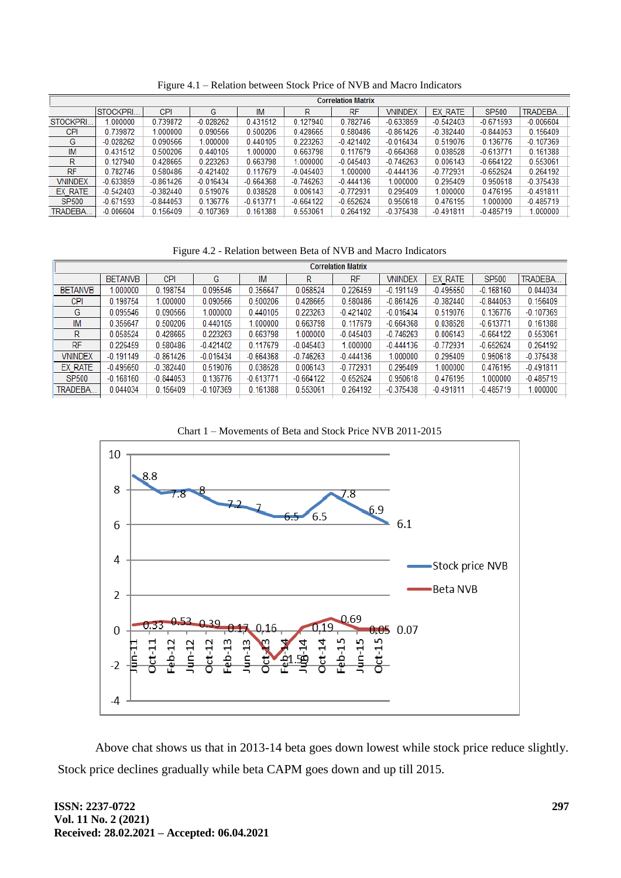|                 | <b>Correlation Matrix</b> |             |             |             |             |             |                |             |              |             |
|-----------------|---------------------------|-------------|-------------|-------------|-------------|-------------|----------------|-------------|--------------|-------------|
|                 | <b>STOCKPRI.</b>          | <b>CPI</b>  | G           | IM          | R           | <b>RF</b>   | <b>VNINDEX</b> | EX RATE     | <b>SP500</b> | TRADEBA     |
| STOCKPRI.       | .000000                   | 0.739872    | $-0.028262$ | 0.431512    | 0.127940    | 0.782746    | $-0.633859$    | $-0.542403$ | $-0.671593$  | $-0.006604$ |
| CPI             | 0.739872                  | 1.000000    | 0.090566    | 0.500206    | 0.428665    | 0.580486    | $-0.861426$    | $-0.382440$ | $-0.844053$  | 0.156409    |
| G               | $-0.028262$               | 0.090566    | 1.000000    | 0.440105    | 0.223263    | $-0.421402$ | $-0.016434$    | 0.519076    | 0.136776     | $-0.107369$ |
| IM              | 0.431512                  | 0.500206    | 0.440105    | 1.000000    | 0.663798    | 0.117679    | $-0.664368$    | 0.038528    | $-0.613771$  | 0.161388    |
| R               | 0.127940                  | 0.428665    | 0.223263    | 0.663798    | 1.000000    | $-0.045403$ | $-0.746263$    | 0.006143    | $-0.664122$  | 0.553061    |
| <b>RF</b>       | 0.782746                  | 0.580486    | $-0.421402$ | 0.117679    | $-0.045403$ | .000000     | $-0.444136$    | $-0.772931$ | $-0.652624$  | 0.264192    |
| <b>VNINDEX</b>  | $-0.633859$               | $-0.861426$ | $-0.016434$ | $-0.664368$ | $-0.746263$ | $-0.444136$ | 1.000000       | 0.295409    | 0.950618     | $-0.375438$ |
| EX RATE         | $-0.542403$               | $-0.382440$ | 0.519076    | 0.038528    | 0.006143    | $-0.772931$ | 0.295409       | 1.000000    | 0.476195     | $-0.491811$ |
| <b>SP500</b>    | $-0.671593$               | $-0.844053$ | 0.136776    | $-0.613771$ | $-0.664122$ | $-0.652624$ | 0.950618       | 0.476195    | 1.000000     | $-0.485719$ |
| <b>TRADEBA.</b> | $-0.006604$               | 0.156409    | $-0.107369$ | 0.161388    | 0.553061    | 0.264192    | $-0.375438$    | $-0.491811$ | $-0.485719$  | 1.000000    |
|                 |                           |             |             |             |             |             |                |             |              |             |

Figure 4.1 – Relation between Stock Price of NVB and Macro Indicators

Figure 4.2 - Relation between Beta of NVB and Macro Indicators

|                | <b>Correlation Matrix</b> |             |             |             |             |             |                |             |              |             |
|----------------|---------------------------|-------------|-------------|-------------|-------------|-------------|----------------|-------------|--------------|-------------|
|                | <b>BETANVB</b>            | CPI         | G           | <b>IM</b>   | R           | <b>RF</b>   | <b>VNINDEX</b> | EX RATE     | <b>SP500</b> | TRADEBA     |
| <b>BETANVB</b> | .000000                   | 0.198754    | 0.095546    | 0.356647    | 0.058524    | 0.226459    | $-0.191149$    | $-0.495650$ | $-0.168160$  | 0.044034    |
| CPI            | 0.198754                  | 1.000000    | 0.090566    | 0.500206    | 0.428665    | 0.580486    | $-0.861426$    | $-0.382440$ | $-0.844053$  | 0.156409    |
| G              | 0.095546                  | 0.090566    | .000000     | 0.440105    | 0.223263    | $-0.421402$ | $-0.016434$    | 0.519076    | 0.136776     | $-0.107369$ |
| <b>IM</b>      | 0.356647                  | 0.500206    | 0.440105    | 1.000000    | 0.663798    | 0.117679    | $-0.664368$    | 0.038528    | $-0.613771$  | 0.161388    |
| R              | 0.058524                  | 0.428665    | 0.223263    | 0.663798    | 1.000000    | $-0.045403$ | $-0.746263$    | 0.006143    | $-0.664122$  | 0.553061    |
| <b>RF</b>      | 0.226459                  | 0.580486    | $-0.421402$ | 0.117679    | $-0.045403$ | 1.000000    | $-0.444136$    | $-0.772931$ | $-0.652624$  | 0.264192    |
| <b>VNINDEX</b> | $-0.191149$               | $-0.861426$ | $-0.016434$ | $-0.664368$ | $-0.746263$ | $-0.444136$ | 1.000000       | 0.295409    | 0.950618     | $-0.375438$ |
| EX RATE        | $-0.495650$               | $-0.382440$ | 0.519076    | 0.038528    | 0.006143    | $-0.772931$ | 0.295409       | 1.000000    | 0.476195     | $-0.491811$ |
| <b>SP500</b>   | $-0.168160$               | $-0.844053$ | 0.136776    | $-0.613771$ | $-0.664122$ | $-0.652624$ | 0.950618       | 0.476195    | 1.000000     | $-0.485719$ |
| TRADEBA.       | 0.044034                  | 0.156409    | $-0.107369$ | 0.161388    | 0.553061    | 0.264192    | $-0.375438$    | $-0.491811$ | $-0.485719$  | 1.000000    |

Chart 1 – Movements of Beta and Stock Price NVB 2011-2015



Above chat shows us that in 2013-14 beta goes down lowest while stock price reduce slightly. Stock price declines gradually while beta CAPM goes down and up till 2015.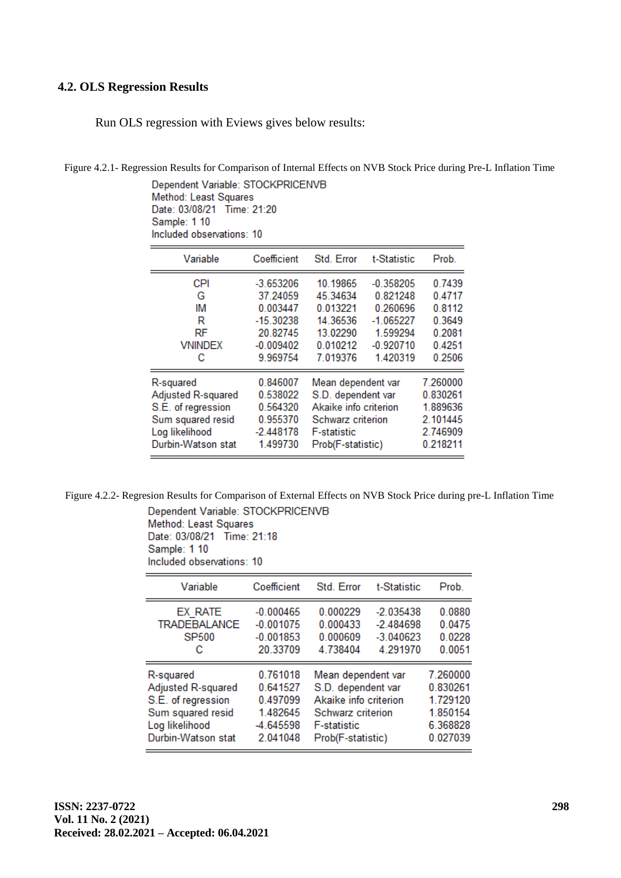### **4.2. OLS Regression Results**

Run OLS regression with Eviews gives below results:

Figure 4.2.1- Regression Results for Comparison of Internal Effects on NVB Stock Price during Pre-L Inflation Time

Dependent Variable: STOCKPRICENVB Method: Least Squares Date: 03/08/21 Time: 21:20 Sample: 1 10 Included observations: 10

| Variable            | Coefficient             | Std. Error            | t-Statistic             | Prob.            |
|---------------------|-------------------------|-----------------------|-------------------------|------------------|
| <b>CPI</b><br>G     | $-3.653206$<br>37.24059 | 10.19865<br>45.34634  | $-0.358205$<br>0.821248 | 0.7439<br>0.4717 |
| IM                  | 0.003447                | 0.013221              | 0.260696                | 0.8112           |
| R<br>RF             | $-15.30238$<br>20.82745 | 14.36536<br>13.02290  | $-1.065227$<br>1.599294 | 0.3649<br>0.2081 |
| <b>VNINDEX</b><br>с | $-0.009402$<br>9.969754 | 0.010212<br>7.019376  | $-0.920710$<br>1.420319 | 0.4251<br>0.2506 |
|                     |                         |                       |                         |                  |
| R-squared           | 0.846007                | Mean dependent var    |                         | 7.260000         |
| Adjusted R-squared  | 0.538022                | S.D. dependent var    |                         | 0.830261         |
| S.E. of regression  | 0.564320                | Akaike info criterion |                         | 1.889636         |
| Sum squared resid   | 0.955370                | Schwarz criterion     |                         | 2.101445         |
| Log likelihood      | $-2.448178$             | <b>F-statistic</b>    |                         | 2.746909         |
| Durbin-Watson stat  | 1.499730                | Prob(F-statistic)     |                         | 0.218211         |

Figure 4.2.2- Regresion Results for Comparison of External Effects on NVB Stock Price during pre-L Inflation Time

Dependent Variable: STOCKPRICENVB Method: Least Squares

Date: 03/08/21 Time: 21:18 Sample: 1 10 Included observations: 10

| Variable            | Coefficient | Std Error             | t-Statistic | Prob.    |
|---------------------|-------------|-----------------------|-------------|----------|
| EX RATE             | $-0.000465$ | 0.000229              | $-2.035438$ | 0.0880   |
| <b>TRADEBALANCE</b> | $-0.001075$ | 0.000433              | $-2.484698$ | 0.0475   |
| <b>SP500</b>        | $-0.001853$ | 0.000609              | $-3.040623$ | 0.0228   |
| с                   | 20.33709    | 4.738404              | 4.291970    | 0.0051   |
| R-squared           | 0.761018    | Mean dependent var    |             | 7.260000 |
| Adjusted R-squared  | 0.641527    | S.D. dependent var    |             | 0.830261 |
| S.E. of regression  | 0.497099    | Akaike info criterion |             | 1.729120 |
| Sum squared resid   | 1.482645    | Schwarz criterion     |             | 1.850154 |
| Log likelihood      | -4.645598   | <b>F-statistic</b>    |             | 6.368828 |
| Durbin-Watson stat  | 2.041048    | Prob(F-statistic)     |             | 0.027039 |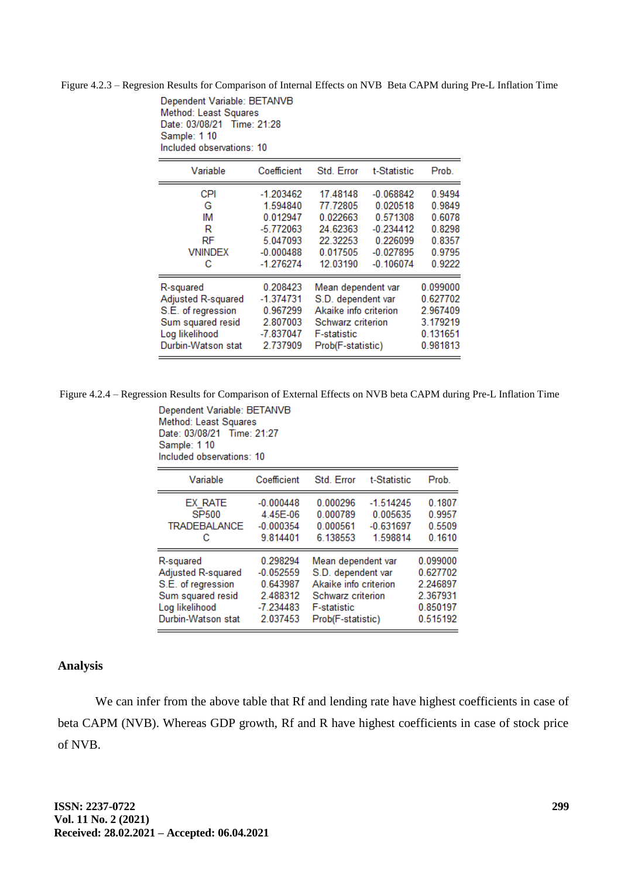Figure 4.2.3 – Regresion Results for Comparison of Internal Effects on NVB Beta CAPM during Pre-L Inflation Time

Dependent Variable: BETANVB Method: Least Squares Date: 03/08/21 Time: 21:28 Sample: 1 10 Included observations: 10

| Variable           | Coefficient | Std. Error            | t-Statistic | Prob.    |
|--------------------|-------------|-----------------------|-------------|----------|
| <b>CPI</b>         | $-1.203462$ | 17.48148              | $-0.068842$ | 0.9494   |
| G                  | 1.594840    | 77.72805              | 0.020518    | 0.9849   |
| ΙM                 | 0.012947    | 0.022663              | 0.571308    | 0.6078   |
| R                  | $-5.772063$ | 24.62363              | $-0.234412$ | 0.8298   |
| RF                 | 5.047093    | 22.32253              | 0.226099    | 0.8357   |
| <b>VNINDEX</b>     | $-0.000488$ | 0.017505              | $-0.027895$ | 0.9795   |
| с                  | $-1.276274$ | 12.03190              | $-0.106074$ | 0.9222   |
| R-squared          | 0.208423    | Mean dependent var    |             | 0.099000 |
| Adjusted R-squared | $-1.374731$ | S.D. dependent var    |             | 0.627702 |
| S.E. of regression | 0.967299    | Akaike info criterion |             | 2.967409 |
| Sum squared resid  | 2.807003    | Schwarz criterion     |             | 3.179219 |
| Log likelihood     | $-7.837047$ | <b>F-statistic</b>    |             | 0.131651 |
| Durbin-Watson stat | 2.737909    | Prob(F-statistic)     |             | 0.981813 |

Figure 4.2.4 – Regression Results for Comparison of External Effects on NVB beta CAPM during Pre-L Inflation Time

Dependent Variable: BETANVB Method: Least Squares Date: 03/08/21 Time: 21:27 Sample: 1 10 Included observations: 10

| Variable            | Coefficient | Std. Error            | t-Statistic | Prob.    |
|---------------------|-------------|-----------------------|-------------|----------|
| EX RATE             | $-0.000448$ | 0.000296              | $-1.514245$ | 0.1807   |
| SP500               | 4.45E-06    | 0.000789              | 0.005635    | 0.9957   |
| <b>TRADEBALANCE</b> | $-0.000354$ | 0.000561              | $-0.631697$ | 0.5509   |
| С                   | 9.814401    | 6.138553              | 1.598814    | 0.1610   |
| R-squared           | 0.298294    | Mean dependent var    |             | 0.099000 |
| Adjusted R-squared  | $-0.052559$ | S.D. dependent var    |             | 0.627702 |
| S.E. of regression  | 0.643987    | Akaike info criterion |             | 2.246897 |
| Sum squared resid   | 2.488312    | Schwarz criterion     |             | 2.367931 |
| Log likelihood      | $-7.234483$ | <b>F-statistic</b>    |             | 0.850197 |
| Durbin-Watson stat  | 2.037453    | Prob(F-statistic)     |             | 0.515192 |

### **Analysis**

We can infer from the above table that Rf and lending rate have highest coefficients in case of beta CAPM (NVB). Whereas GDP growth, Rf and R have highest coefficients in case of stock price of NVB.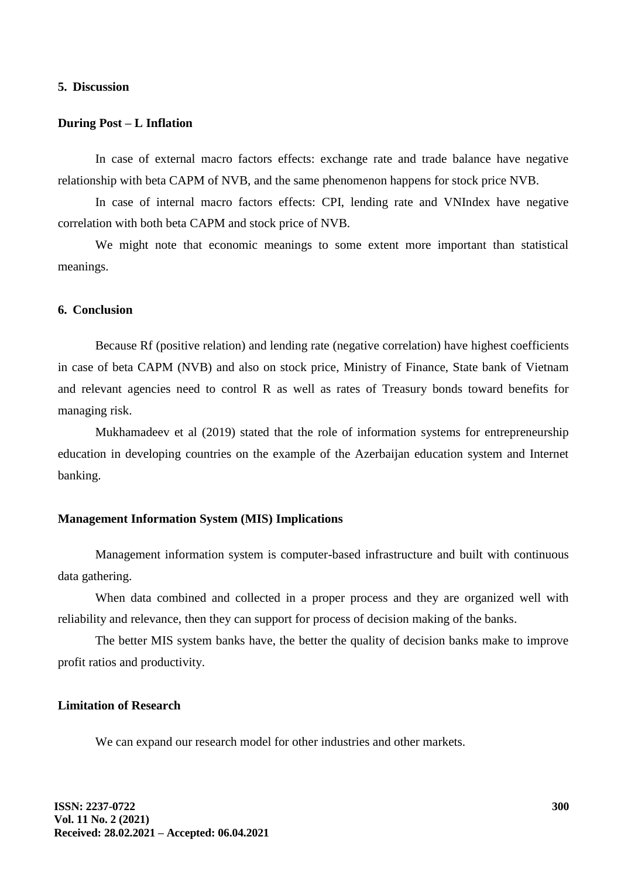#### **5. Discussion**

### **During Post – L Inflation**

In case of external macro factors effects: exchange rate and trade balance have negative relationship with beta CAPM of NVB, and the same phenomenon happens for stock price NVB.

In case of internal macro factors effects: CPI, lending rate and VNIndex have negative correlation with both beta CAPM and stock price of NVB.

We might note that economic meanings to some extent more important than statistical meanings.

#### **6. Conclusion**

Because Rf (positive relation) and lending rate (negative correlation) have highest coefficients in case of beta CAPM (NVB) and also on stock price, Ministry of Finance, State bank of Vietnam and relevant agencies need to control R as well as rates of Treasury bonds toward benefits for managing risk.

Mukhamadeev et al (2019) stated that the role of information systems for entrepreneurship education in developing countries on the example of the Azerbaijan education system and Internet banking.

### **Management Information System (MIS) Implications**

Management information system is computer-based infrastructure and built with continuous data gathering.

When data combined and collected in a proper process and they are organized well with reliability and relevance, then they can support for process of decision making of the banks.

The better MIS system banks have, the better the quality of decision banks make to improve profit ratios and productivity.

### **Limitation of Research**

We can expand our research model for other industries and other markets.